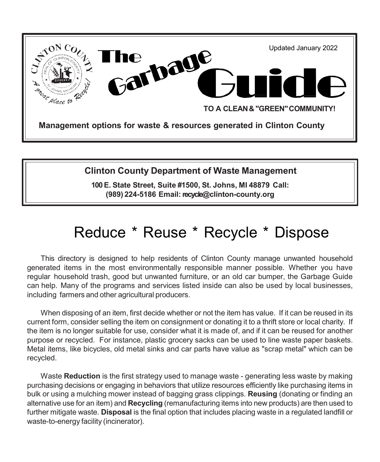

## **Clinton County Department of Waste Management**

**100 E. State Street, Suite #1500, St. Johns, MI 48879 Call: (989) 224-5186 Email:recycl[e@clinton-county.org](mailto:conserve@clinton-county.org)**

# Reduce \* Reuse \* Recycle \* Dispose

This directory is designed to help residents of Clinton County manage unwanted household generated items in the most environmentally responsible manner possible. Whether you have regular household trash, good but unwanted furniture, or an old car bumper, the Garbage Guide can help. Many of the programs and services listed inside can also be used by local businesses, including farmers and other agricultural producers.

When disposing of an item, first decide whether or not the item has value. If it can be reused in its current form, consider selling the item on consignment or donating it to a thrift store or local charity. If the item is no longer suitable for use, consider what it is made of, and if it can be reused for another purpose or recycled. For instance, plastic grocery sacks can be used to line waste paper baskets. Metal items, like bicycles, old metal sinks and car parts have value as "scrap metal" which can be recycled.

Waste **Reduction** is the first strategy used to manage waste - generating less waste by making purchasing decisions or engaging in behaviors that utilize resources efficiently like purchasing items in bulk or using a mulching mower instead of bagging grass clippings. **Reusing** (donating or finding an alternative use for an item) and **Recycling** (remanufacturing items into new products) are then used to further mitigate waste. **Disposal** is the final option that includes placing waste in a regulated landfill or waste-to-energy facility (incinerator).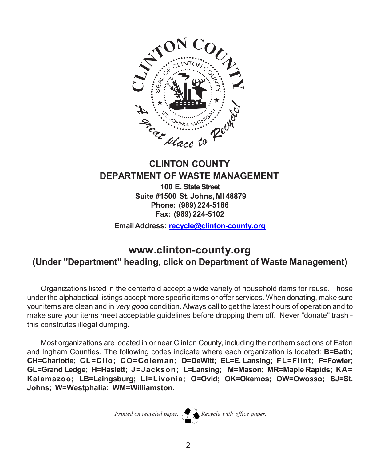

## **CLINTON COUNTY DEPARTMENT OF WASTE MANAGEMENT**

**100 E. State Street Suite #1500 St. Johns, MI 48879 Phone: (989) 224-5186 Fax: (989) 224-5102**

**EmailAddress: [recycle@clinton-county.org](mailto:recycle@clinton-county.org)**

## **[www.clinton-county.org](http://www.clinton-county.org/) (Under "Department" heading, click on Department of Waste Management)**

Organizations listed in the centerfold accept a wide variety of household items for reuse. Those under the alphabetical listings accept more specific items or offer services. When donating, make sure your items are clean and in *very good* condition.Always call to get the latest hours of operation and to make sure your items meet acceptable guidelines before dropping them off. Never "donate" trash this constitutes illegal dumping.

Most organizations are located in or near Clinton County, including the northern sections of Eaton and Ingham Counties. The following codes indicate where each organization is located: **B=Bath; CH=Charlotte; CL=Clio; CO=Coleman; D=DeWitt; EL=E. Lansing; FL=Flint; F=Fowler; GL=Grand Ledge; H=Haslett; J=Jackson; L=Lansing; M=Mason; MR=Maple Rapids; KA= Kalamazoo; LB=Laingsburg; LI=Livonia; O=Ovid; OK=Okemos; OW=Owosso; SJ=St. Johns; W=Westphalia; WM=Williamston.**

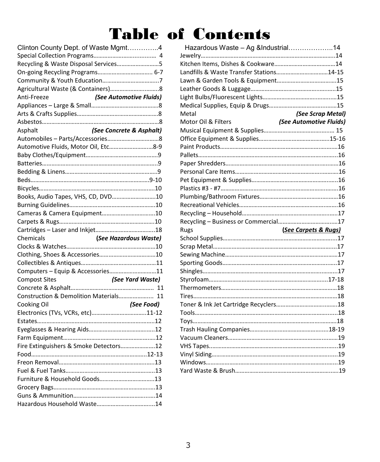# Table of Contents

| Clinton County Dept. of Waste Mgmt4    |                          |
|----------------------------------------|--------------------------|
|                                        |                          |
| Recycling & Waste Disposal Services5   |                          |
|                                        |                          |
|                                        |                          |
|                                        |                          |
| (See Automotive Fluids)<br>Anti-Freeze |                          |
|                                        |                          |
|                                        |                          |
|                                        |                          |
| Asphalt                                | (See Concrete & Asphalt) |
|                                        |                          |
| Automotive Fluids, Motor Oil, Etc8-9   |                          |
|                                        |                          |
|                                        |                          |
|                                        |                          |
|                                        |                          |
|                                        |                          |
| Books, Audio Tapes, VHS, CD, DVD10     |                          |
|                                        |                          |
| Cameras & Camera Equipment10           |                          |
|                                        |                          |
|                                        |                          |
|                                        |                          |
|                                        |                          |
|                                        |                          |
|                                        |                          |
|                                        |                          |
| Computers - Equip & Accessories11      |                          |
|                                        |                          |
|                                        |                          |
| Construction & Demolition Materials 11 |                          |
| Cooking Oil                            | (See Food)               |
|                                        |                          |
|                                        |                          |
|                                        |                          |
|                                        |                          |
| Fire Extinguishers & Smoke Detectors12 |                          |
|                                        |                          |
|                                        |                          |
|                                        |                          |
|                                        |                          |
|                                        |                          |

|                      | Clinton County Dept. of Waste Mgmt4                     | Hazardous Waste - Ag &Industrial14       |                         |
|----------------------|---------------------------------------------------------|------------------------------------------|-------------------------|
|                      |                                                         |                                          |                         |
|                      | Recycling & Waste Disposal Services5                    |                                          |                         |
|                      | On-going Recycling Programs 6-7                         | Landfills & Waste Transfer Stations14-15 |                         |
|                      |                                                         |                                          |                         |
|                      |                                                         |                                          |                         |
| Anti-Freeze          | (See Automotive Fluids)                                 |                                          |                         |
|                      |                                                         |                                          |                         |
|                      |                                                         | Metal                                    | (See Scrap Metal)       |
|                      |                                                         | Motor Oil & Filters                      | (See Automotive Fluids) |
| Asphalt              | (See Concrete & Asphalt)                                |                                          |                         |
|                      | Automobiles - Parts/Accessories8                        |                                          |                         |
|                      | Automotive Fluids, Motor Oil, Etc8-9                    |                                          |                         |
|                      |                                                         |                                          |                         |
|                      |                                                         |                                          |                         |
|                      |                                                         |                                          |                         |
|                      |                                                         |                                          |                         |
|                      |                                                         |                                          |                         |
|                      | Books, Audio Tapes, VHS, CD, DVD10                      |                                          |                         |
|                      |                                                         |                                          |                         |
|                      | Cameras & Camera Equipment10                            |                                          |                         |
|                      |                                                         |                                          |                         |
|                      |                                                         | Rugs                                     | (See Carpets & Rugs)    |
| Chemicals            | (See Hazardous Waste)                                   |                                          |                         |
|                      |                                                         |                                          |                         |
|                      |                                                         |                                          |                         |
|                      |                                                         |                                          |                         |
|                      | Computers - Equip & Accessories11                       |                                          |                         |
| <b>Compost Sites</b> | (See Yard Waste)                                        |                                          |                         |
|                      |                                                         |                                          |                         |
|                      | Construction & Demolition Materials 11                  |                                          |                         |
| Cooking Oil          | (See Food)                                              |                                          |                         |
|                      | Electronics (TVs, VCRs, etc)11-12                       |                                          |                         |
|                      |                                                         |                                          |                         |
|                      |                                                         |                                          |                         |
|                      |                                                         |                                          |                         |
|                      | Fire Extinguishers & Smoke Detectors12                  |                                          |                         |
|                      |                                                         |                                          |                         |
|                      |                                                         |                                          |                         |
|                      |                                                         |                                          |                         |
|                      | $\ddot{a}$ and $\ddot{a}$ and $\ddot{a}$ and $\ddot{a}$ |                                          |                         |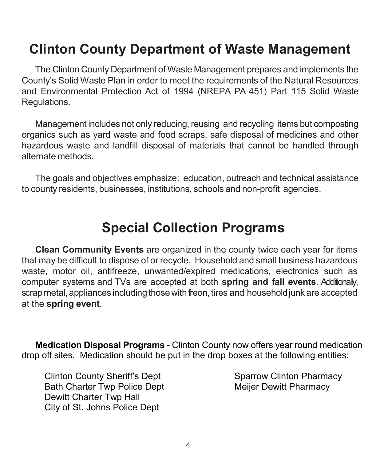# **Clinton County Department of Waste Management**

The Clinton County Department of Waste Management prepares and implements the County's Solid Waste Plan in order to meet the requirements of the Natural Resources and Environmental Protection Act of 1994 (NREPA PA 451) Part 115 Solid Waste Regulations.

Management includes not only reducing, reusing and recycling items but composting organics such as yard waste and food scraps, safe disposal of medicines and other hazardous waste and landfill disposal of materials that cannot be handled through alternate methods.

The goals and objectives emphasize: education, outreach and technical assistance to county residents, businesses, institutions, schools and non-profit agencies.

# **Special Collection Programs**

**Clean Community Events** are organized in the county twice each year for items that may be difficult to dispose of or recycle. Household and small business hazardous waste, motor oil, antifreeze, unwanted/expired medications, electronics such as computer systems and TVs are accepted at both **spring and fall events**. Additionally, scrap metal, appliances including those with freon, tires and household junk are accepted at the **spring event**.

**Medication Disposal Programs** - Clinton County now offers year round medication drop off sites. Medication should be put in the drop boxes at the following entities:

Clinton County Sheriff's Dept Sparrow Clinton Pharmacy Bath Charter Twp Police Dept Meijer Dewitt Pharmacy Dewitt Charter Twp Hall City of St. Johns Police Dept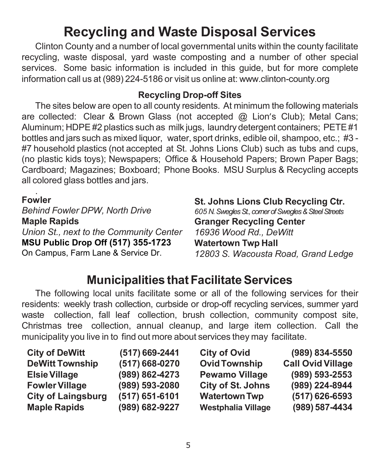# **Recycling and Waste Disposal Services**

Clinton County and a number of local governmental units within the county facilitate recycling, waste disposal, yard waste composting and a number of other special services. Some basic information is included in this guide, but for more complete information call us at (989) 224-5186 or visit us online at: [www.clinton-county.org](http://www.clinton-county.org/)

### **Recycling Drop-off Sites**

The sites below are open to all county residents. At minimum the following materials are collected: Clear & Brown Glass (not accepted @ Lion's Club); Metal Cans; Aluminum; HDPE #2 plastics such as milk jugs, laundry detergent containers; PETE #1 bottles and jars such as mixed liquor, water, sport drinks, edible oil, shampoo, etc.; #3 - #7 household plastics (not accepted at St. Johns Lions Club) such as tubs and cups, (no plastic kids toys); Newspapers; Office & Household Papers; Brown Paper Bags; Cardboard; Magazines; Boxboard; Phone Books. MSU Surplus & Recycling accepts all colored glass bottles and jars.

#### . **Fowler**

*Behind Fowler DPW, North Drive* **Maple Rapids** *Union St., next to the Community Center* **MSU Public Drop Off (517) 355-1723**  On Campus, Farm Lane & Service Dr.

#### **St. Johns Lions Club Recycling Ctr.** *605 N. Swegles St., corner of Swegles & Steel Streets*  **Granger Recycling Center** *16936 Wood Rd., DeWitt* **Watertown Twp Hall** *12803 S. Wacousta Road, Grand Ledge*

# **Municipalities that Facilitate Services**

The following local units facilitate some or all of the following services for their residents: weekly trash collection, curbside or drop-off recycling services, summer yard waste collection, fall leaf collection, brush collection, community compost site, Christmas tree collection, annual cleanup, and large item collection. Call the municipality you live in to find out more about services they may facilitate.

| <b>City of DeWitt</b>     | (517) 669-2441 | <b>City of Ovid</b>      | (989) 834-5550           |
|---------------------------|----------------|--------------------------|--------------------------|
| <b>DeWitt Township</b>    | (517) 668-0270 | <b>Ovid Township</b>     | <b>Call Ovid Village</b> |
| <b>Elsie Village</b>      | (989) 862-4273 | <b>Pewamo Village</b>    | (989) 593-2553           |
| <b>Fowler Village</b>     | (989) 593-2080 | <b>City of St. Johns</b> | (989) 224-8944           |
| <b>City of Laingsburg</b> | (517) 651-6101 | <b>Watertown Twp</b>     | (517) 626-6593           |
| <b>Maple Rapids</b>       | (989) 682-9227 | Westphalia Village       | (989) 587-4434           |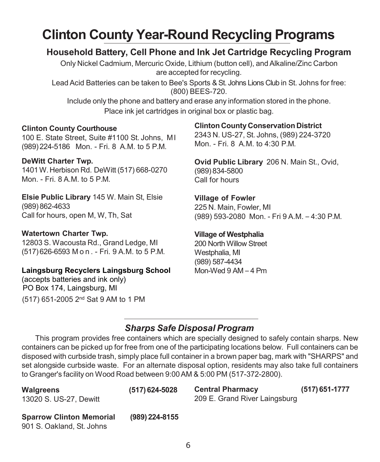# **Clinton County Year-Round Recycling Programs**

# **Household Battery, Cell Phone and Ink Jet Cartridge Recycling Program**

Only Nickel Cadmium, Mercuric Oxide, Lithium (button cell), andAlkaline/Zinc Carbon are accepted for recycling.

Lead Acid Batteries can be taken to Bee's Sports & St. Johns Lions Club in St. Johns for free: (800) BEES-720.

Include only the phone and battery and erase any information stored in the phone. Place ink jet cartridges in original box or plastic bag.

#### **Clinton County Courthouse**

100 E. State Street, Suite #1100 St. Johns, MI (989)224-5186 Mon. - Fri. 8 A.M. to 5 P.M.

#### **DeWitt Charter Twp.**

1401W.Herbison Rd. DeWitt (517) 668-0270 Mon. - Fri. 8 A.M. to 5 P.M.

**Elsie Public Library** 145 W. Main St, Elsie (989) 862-4633 Call for hours, open M, W, Th, Sat

#### **Watertown Charter Twp.**

12803 S. Wacousta Rd., Grand Ledge, MI (517)626-6593 Mon . - Fri. 9 A.M. to 5 P.M.

#### **Laingsburg Recyclers Laingsburg School**

(accepts batteries and ink only) PO Box 174, Laingsburg, MI (517) 651-2005 2nd Sat 9 AM to 1 PM

#### **Clinton County Conservation District**

2343 N. US-27, St. Johns, (989) 224-3720 Mon. - Fri. 8 A.M. to 4:30 P.M.

**Ovid Public Library** 206 N. Main St., Ovid, (989) 834-5800 Call for hours

**Village of Fowler** 225 N. Main, Fowler, MI (989) 593-2080 Mon. - Fri 9 A.M. – 4:30 P.M.

#### **Village of Westphalia**

200 North Willow Street Westphalia, MI (989) 587-4434 Mon-Wed 9 AM – 4 Pm

# *Sharps Safe Disposal Program*

This program provides free containers which are specially designed to safely contain sharps. New containers can be picked up for free from one of the participating locations below. Full containers can be disposed with curbside trash, simply place full container in a brown paper bag, mark with "SHARPS" and set alongside curbside waste. For an alternate disposal option, residents may also take full containers to Granger's facility on Wood Road between 9:00AM & 5:00 PM (517-372-2800).

| Walgreens<br>13020 S. US-27, Dewitt                          | $(517)$ 624-5028 | <b>Central Pharmacy</b><br>209 E. Grand River Laingsburg | $(517)$ 651-1777 |
|--------------------------------------------------------------|------------------|----------------------------------------------------------|------------------|
| <b>Sparrow Clinton Memorial</b><br>901 S. Oakland, St. Johns | $(989)$ 224-8155 |                                                          |                  |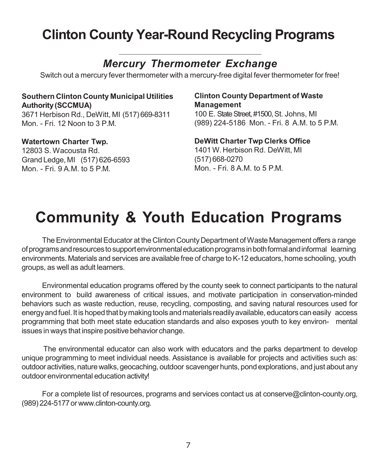# **Clinton County Year-Round Recycling Programs**

# *Mercury Thermometer Exchange*

Switch out a mercury fever thermometer with a mercury-free digital fever thermometer for free!

# **Southern Clinton County Municipal Utilities Authority(SCCMUA)**

3671 Herbison Rd., DeWitt, MI (517)669-8311 Mon. - Fri. 12 Noon to 3 P.M.

#### **Watertown Charter Twp.**

12803 S. Wacousta Rd. Grand Ledge, MI (517) 626-6593 Mon. - Fri. 9 A.M. to 5 P.M.

#### **Clinton County Department of Waste Management**

100 E. State Street, #1500, St. Johns, MI (989) 224-5186 Mon. - Fri. 8 A.M. to 5 P.M.

#### **DeWitt Charter Twp Clerks Office** 1401 W. Herbison Rd. DeWitt, MI (517) 668-0270 Mon. - Fri. 8 A.M. to 5 P.M.

# **Community & Youth Education Programs**

The Environmental Educator at the Clinton County Department of Waste Management offers a range ofprogramsandresourcestosupportenvironmentaleducationprogramsinbothformalandinformal learning environments. Materials and services are available free of charge to K-12 educators, home schooling, youth groups, as well as adult learners.

Environmental education programs offered by the county seek to connect participants to the natural environment to build awareness of critical issues, and motivate participation in conservation-minded behaviors such as waste reduction, reuse, recycling, composting, and saving natural resources used for energy and fuel. It is hoped that by making tools and materials readily available, educators can easily access programming that both meet state education standards and also exposes youth to key environ- mental issues in ways that inspire positive behavior change.

The environmental educator can also work with educators and the parks department to develop unique programming to meet individual needs. Assistance is available for projects and activities such as: outdoor activities, nature walks, geocaching, outdoor scavenger hunts, pond explorations, and just about any outdoor environmental education activity!

For a complete list of resources, programs and services contact us at [conserve@clinton-county.org,](mailto:conserve@clinton-county.org) (989)224-5177or [www.clinton-county.org.](http://www.clinton-county.org/)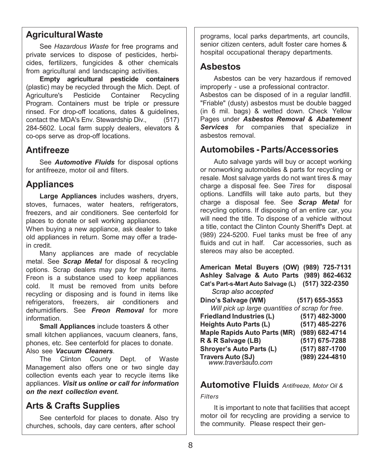#### **AgriculturalWaste**

See *Hazardous Waste* for free programs and private services to dispose of pesticides, herbicides, fertilizers, fungicides & other chemicals from agricultural and landscaping activities.

**Empty agricultural pesticide containers** (plastic) may be recycled through the Mich. Dept. of Agriculture's Pesticide Container Recycling Program. Containers must be triple or pressure rinsed. For drop-off locations, dates & guidelines, contact the MDA's Env. Stewardship Div., (517) 284-5602. Local farm supply dealers, elevators & co-ops serve as drop-off locations.

#### **Antifreeze**

See *Automotive Fluids* for disposal options for antifreeze, motor oil and filters.

#### **Appliances**

**Large Appliances** includes washers, dryers, stoves, furnaces, water heaters, refrigerators, freezers, and air conditioners. See centerfold for places to donate or sell working appliances. When buying a new appliance, ask dealer to take old appliances in return. Some may offer a tradein credit.

Many appliances are made of recyclable metal. See *Scrap Metal* for disposal & recycling options. Scrap dealers may pay for metal items. Freon is a substance used to keep appliances cold. It must be removed from units before recycling or disposing and is found in items like refrigerators, freezers, air conditioners and dehumidifiers. See *Freon Removal* for more information.

**Small Appliances** include toasters & other small kitchen appliances, vacuum cleaners, fans, phones, etc. See centerfold for places to donate. Also see *Vacuum Cleaners*.

The Clinton County Dept. of Waste Management also offers one or two single day collection events each year to recycle items like appliances. *Visit us online or call for information on the next collection event***.**

## **Arts & Crafts Supplies**

See centerfold for places to donate. Also try churches, schools, day care centers, after school

programs, local parks departments, art councils, senior citizen centers, adult foster care homes & hospital occupational therapy departments.

#### **Asbestos**

Asbestos can be very hazardous if removed improperly - use a professional contractor.

Asbestos can be disposed of in a regular landfill. "Friable" (dusty) asbestos must be double bagged (in 6 mil. bags) & wetted down. Check Yellow Pages under *Asbestos Removal & Abatement Services f*or companies that specialize in asbestos removal.

#### **Automobiles - Parts/Accessories**

Auto salvage yards will buy or accept working or nonworking automobiles & parts for recycling or resale. Most salvage yards do not want tires & may charge a disposal fee. See *Tires* for disposal options. Landfills will take auto parts, but they charge a disposal fee. See *Scrap Metal* for recycling options. If disposing of an entire car, you will need the title. To dispose of a vehicle without a title, contact the Clinton County Sheriff's Dept. at (989) 224-5200. Fuel tanks must be free of any fluids and cut in half. Car accessories, such as stereos may also be accepted.

**American Metal Buyers (OW) (989) 725-7131 Ashley Salvage & Auto Parts (989) 862-4632 Cat's Part-s-Mart Auto Salvage (L) (517) 322-2350** *Scrap also accepted*  **Dino's Salvage (WM) (517) 655-3553** *Will pick up large quantities of scrap for free. [www.traversauto.com](http://www.traversauto.com/)* **Travers Auto (SJ) (989) 224-4810Friedland Industries (L) (517) 482-3000 Heights Auto Parts (L) (517) 485-2276 Maple Rapids Auto Parts (MR) (989) 682-4714 R & R Salvage (LB) (517) 675-7288 Shroyer's Auto Parts (L) (517) 887-1700**

#### **Automotive Fluids** *Antifreeze, Motor Oil &*

*Filters*

It is important to note that facilities that accept motor oil for recycling are providing a service to the community. Please respect their gen-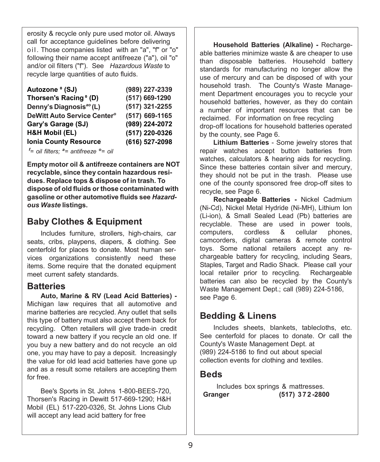erosity & recycle only pure used motor oil. Always call for acceptance guidelines before delivering oil. Those companies listed with an "a", "f" or "o" following their name accept antifreeze ("a"), oil "o" and/or oil filters ("f"). See *Hazardous Waste* to recycle large quantities of auto fluids.

| Autozone <sup>o</sup> (SJ)              | (989) 227-2339 |
|-----------------------------------------|----------------|
| Thorsen's Racing <sup>°</sup> (D)       | (517) 669-1290 |
| Denny's Diagnosis <sup>ao</sup> (L)     | (517) 321-2255 |
| DeWitt Auto Service Center <sup>o</sup> | (517) 669-1165 |
| Gary's Garage (SJ)                      | (989) 224-2072 |
| <b>H&amp;H Mobil (EL)</b>               | (517) 220-0326 |
| <b>Ionia County Resource</b>            | (616) 527-2098 |
|                                         |                |

*f = oil filters; <sup>a</sup> = antifreeze <sup>o</sup> = oil*

**Empty motor oil & antifreeze containers are NOT recyclable, since they contain hazardous residues. Replace tops & dispose of in trash. To dispose of old fluids orthose contaminated with gasoline or other automotive fluids see** *Hazardous Waste* **listings.**

## **Baby Clothes & Equipment**

Includes furniture, strollers, high-chairs, car seats, cribs, playpens, diapers, & clothing. See centerfold for places to donate. Most human services organizations consistently need these items. Some require that the donated equipment meet current safety standards.

#### **Batteries**

**Auto, Marine & RV (Lead Acid Batteries) -** Michigan law requires that all automotive and marine batteries are recycled. Any outlet that sells this type of battery must also accept them back for recycling. Often retailers will give trade-in credit toward a new battery if you recycle an old one. If you buy a new battery and do not recycle an old one, you may have to pay a deposit. Increasingly the value for old lead acid batteries have gone up and as a result some retailers are accepting them for free.

Bee's Sports in St. Johns 1-800-BEES-720, Thorsen's Racing in Dewitt 517-669-1290; H&H Mobil (EL) 517-220-0326, St. Johns Lions Club will accept any lead acid battery for free

**Household Batteries (Alkaline) -** Rechargeable batteries minimize waste & are cheaper to use than disposable batteries. Household battery standards for manufacturing no longer allow the use of mercury and can be disposed of with your household trash. The County's Waste Management Department encourages you to recycle your household batteries, however, as they do contain a number of important resources that can be reclaimed. For information on free recycling drop-off locations for household batteries operated by the county, see Page 6.

**Lithium Batteries** - Some jewelry stores that repair watches accept button batteries from watches, calculators & hearing aids for recycling. Since these batteries contain silver and mercury, they should not be put in the trash. Please use one of the county sponsored free drop-off sites to recycle, see Page 6.

**Rechargeable Batteries -** Nickel Cadmium (Ni-Cd), Nickel Metal Hydride (Ni-MH), Lithium Ion (Li-ion), & Small Sealed Lead (Pb) batteries are recyclable. These are used in power tools, computers, cordless & cellular phones, camcorders, digital cameras & remote control toys. Some national retailers accept any rechargeable battery for recycling, including Sears, Staples, Target and Radio Shack. Please call your local retailer prior to recycling. Rechargeable batteries can also be recycled by the County's Waste Management Dept.; call (989) 224-5186, see Page 6.

## **Bedding & Linens**

Includes sheets, blankets, tablecloths, etc. See centerfold for places to donate. Or call the County's Waste Management Dept. at (989) 224-5186 to find out about special collection events for clothing and textiles.

#### **Beds**

 Includes box springs & mattresses.  **Granger (517) 372 -2800**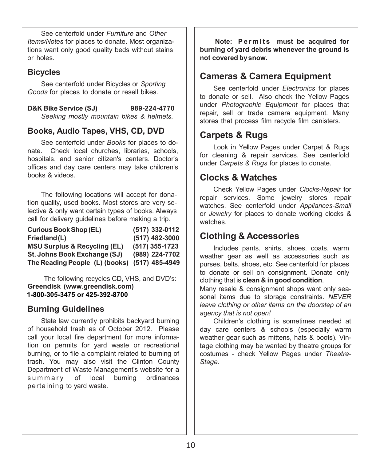See centerfold under *Furniture* and *Other Items/Notes* for places to donate. Most organizations want only good quality beds without stains or holes.

#### **Bicycles**

See centerfold under Bicycles or *Sporting Goods* for places to donate or resell bikes.

**D&K Bike Service (SJ) 989-224-4770** *Seeking mostly mountain bikes & helmets.* 

#### **Books, Audio Tapes, VHS, CD, DVD**

See centerfold under *Books* for places to donate. Check local churches, libraries, schools, hospitals, and senior citizen's centers. Doctor's offices and day care centers may take children's books & videos.

The following locations will accept for donation quality, used books. Most stores are very selective & only want certain types of books. Always call for delivery guidelines before making a trip.

| <b>Curious Book Shop (EL)</b>                 | (517) 332-0112 |
|-----------------------------------------------|----------------|
| Friedland (L)                                 | (517) 482-3000 |
| <b>MSU Surplus &amp; Recycling (EL)</b>       | (517) 355-1723 |
| St. Johns Book Exchange (SJ)                  | (989) 224-7702 |
| The Reading People (L) (books) (517) 485-4949 |                |

The following recycles CD, VHS, and DVD's: **Greendisk (www.greendisk.com) 1-800-305-3475 or 425-392-8700**

#### **Burning Guidelines**

State law currently prohibits backyard burning of household trash as of October 2012. Please call your local fire department for more information on permits for yard waste or recreational burning, or to file a complaint related to burning of trash. You may also visit the Clinton County Department of Waste Management's website for a summ ary of local burning ordinances pertaining to yard waste.

**Note: Permits must be acquired for burning of yard debris whenever the ground is not covered bysnow.**

## **Cameras & Camera Equipment**

See centerfold under *Electronics* for places to donate or sell. Also check the Yellow Pages under *Photographic Equipment* for places that repair, sell or trade camera equipment. Many stores that process film recycle film canisters.

## **Carpets & Rugs**

Look in Yellow Pages under Carpet & Rugs for cleaning & repair services. See centerfold under *Carpets & Rugs* for places to donate.

## **Clocks & Watches**

Check Yellow Pages under *Clocks-Repair* for repair services. Some jewelry stores repair watches. See centerfold under *Appliances-Small* or *Jewelry* for places to donate working clocks & watches.

## **Clothing & Accessories**

Includes pants, shirts, shoes, coats, warm weather gear as well as accessories such as purses, belts, shoes, etc. See centerfold for places to donate or sell on consignment. Donate only clothing that is **clean & in good condition**.

Many resale & consignment shops want only seasonal items due to storage constraints. *NEVER leave clothing or other items on the doorstep of an agency that is not open!*

Children's clothing is sometimes needed at day care centers & schools (especially warm weather gear such as mittens, hats & boots). Vintage clothing may be wanted by theatre groups for costumes - check Yellow Pages under *Theatre-Stage*.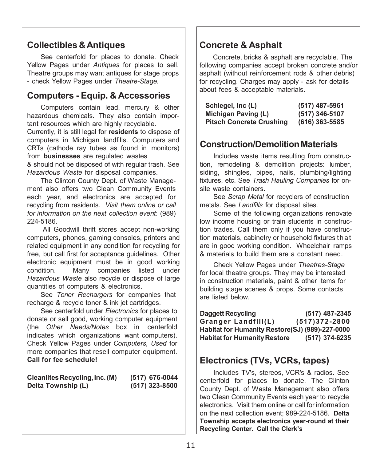## **Collectibles & Antiques**

See centerfold for places to donate. Check Yellow Pages under *Antiques* for places to sell. Theatre groups may want antiques for stage props - check Yellow Pages under *Theatre-Stage.*

## **Computers - Equip. & Accessories**

Computers contain lead, mercury & other hazardous chemicals. They also contain important resources which are highly recyclable. Currently, it is still legal for **residents** to dispose of computers in Michigan landfills. Computers and CRTs (cathode ray tubes as found in monitors) from **businesses** are regulated wastes & should not be disposed of with regular trash. See *Hazardous Waste* for disposal companies.

The Clinton County Dept. of Waste Management also offers two Clean Community Events each year, and electronics are accepted for recycling from residents. *Visit them online or call for information on the next collection event*: (989) 224-5186.

All Goodwill thrift stores accept non-working computers, phones, gaming consoles, printers and related equipment in any condition for recycling for free, but call first for acceptance guidelines. Other electronic equipment must be in good working condition. Many companies listed under *Hazardous Waste* also recycle or dispose of large quantities of computers & electronics.

See *Toner Rechargers* for companies that recharge & recycle toner & ink jet cartridges.

See centerfold under *Electronics* for places to donate or sell good, working computer equipment (the *Other Needs/Notes* box in centerfold indicates which organizations want computers). Check Yellow Pages under *Computers, Used* for more companies that resell computer equipment. **Call for fee schedule!**

| Cleanlites Recycling, Inc. (M) | (517) 676-0044   |
|--------------------------------|------------------|
| Delta Township (L)             | $(517)$ 323-8500 |

### **Concrete & Asphalt**

Concrete, bricks & asphalt are recyclable. The following companies accept broken concrete and/or asphalt (without reinforcement rods & other debris) for recycling. Charges may apply - ask for details about fees & acceptable materials.

| Schlegel, Inc (L)               | (517) 487-5961   |
|---------------------------------|------------------|
| Michigan Paving (L)             | (517) 346-5107   |
| <b>Pitsch Concrete Crushing</b> | $(616)$ 363-5585 |

#### **Construction/DemolitionMaterials**

Includes waste items resulting from construction, remodeling & demolition projects: lumber, siding, shingles, pipes, nails, plumbing/lighting fixtures, etc. See *Trash Hauling Companies* for onsite waste containers.

See *Scrap Metal* for recyclers of construction metals. See *Landfills* for disposal sites.

Some of the following organizations renovate low income housing or train students in construction trades. Call them only if you have construction materials, cabinetry or household fixtures that are in good working condition. Wheelchair ramps & materials to build them are a constant need.

Check Yellow Pages under *Theatres-Stage* for local theatre groups. They may be interested in construction materials, paint & other items for building stage scenes & props. Some contacts are listed below.

| Daggett Recycling                               | (517) 487-2345    |
|-------------------------------------------------|-------------------|
| Granger Landfill(L)                             | $(517)372 - 2800$ |
| Habitat for Humanity Restore(SJ) (989)-227-0000 |                   |
| <b>Habitat for Humanity Restore</b>             | (517) 374-6235    |

#### **Electronics (TVs, VCRs, tapes)**

Includes TV's, stereos, VCR's & radios. See centerfold for places to donate. The Clinton County Dept. of Waste Management also offers two Clean Community Events each year to recycle electronics. Visit them online or call for information on the next collection event; 989-224-5186. **Delta Township accepts electronics year-round at their Recycling Center. Call the Clerk's**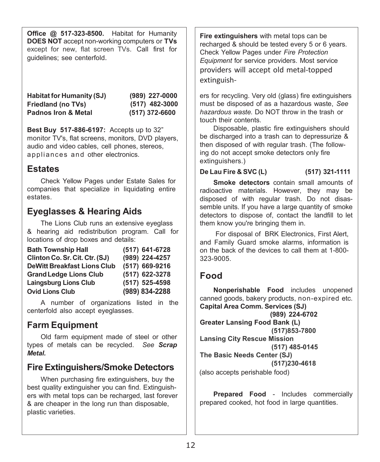**Office @ 517-323-8500.** Habitat for Humanity **DOES NOT** accept non-working computers or **TVs**  except for new, flat screen TVs. Call first for guidelines; see centerfold.

**(989) 227-0000 (517) 482-3000 Habitat for Humanity (SJ) Friedland (no TVs) Padnos Iron & Metal (517) 372-6600**

**Best Buy 517-886-6197:** Accepts up to 32" monitor TV's, flat screens, monitors, DVD players, audio and video cables, cell phones, stereos, appliances and other electronics.

#### **Estates**

Check Yellow Pages under Estate Sales for companies that specialize in liquidating entire estates.

# **Eyeglasses & Hearing Aids**

The Lions Club runs an extensive eyeglass & hearing aid redistribution program. Call for locations of drop boxes and details:

| <b>Bath Township Hall</b>          | (517) 641-6728 |
|------------------------------------|----------------|
| Clinton Co. Sr. Cit. Ctr. (SJ)     | (989) 224-4257 |
| <b>DeWitt Breakfast Lions Club</b> | (517) 669-9216 |
| <b>Grand Ledge Lions Club</b>      | (517) 622-3278 |
| <b>Laingsburg Lions Club</b>       | (517) 525-4598 |
| <b>Ovid Lions Club</b>             | (989) 834-2288 |

A number of organizations listed in the centerfold also accept eyeglasses.

# **Farm Equipment**

Old farm equipment made of steel or other types of metals can be recycled. *See Scrap Metal.*

## **Fire Extinguishers/Smoke Detectors**

When purchasing fire extinguishers, buy the best quality extinguisher you can find. Extinguishers with metal tops can be recharged, last forever & are cheaper in the long run than disposable, plastic varieties.

**Fire extinguishers** with metal tops can be recharged & should be tested every 5 or 6 years. Check Yellow Pages under *Fire Protection Equipment* for service providers. Most service providers will accept old metal-topped extinguish-

ers for recycling. Very old (glass) fire extinguishers must be disposed of as a hazardous waste, *See hazardous waste.* Do NOT throw in the trash or touch their contents.

Disposable, plastic fire extinguishers should be discharged into a trash can to depressurize & then disposed of with regular trash. (The following do not accept smoke detectors only fire extinguishers.)

**De Lau Fire & SVC (L) (517) 321-1111**

**Smoke detectors** contain small amounts of radioactive materials. However, they may be disposed of with regular trash. Do not disassemble units. If you have a large quantity of smoke detectors to dispose of, contact the landfill to let them know you're bringing them in.

For disposal of BRK Electronics, First Alert, and Family Guard smoke alarms, information is on the back of the devices to call them at 1-800- 323-9005.

#### **Food**

**Nonperishable Food** includes unopened canned goods, bakery products, non-expired etc. **Capital Area Comm. Services (SJ)** 

**(989) 224-6702 Greater Lansing Food Bank (L) (517)853-7800 Lansing City Rescue Mission (517) 485-0145 The Basic Needs Center (SJ) (517)230-4618** (also accepts perishable food)

**Prepared Food** - Includes commercially prepared cooked, hot food in large quantities.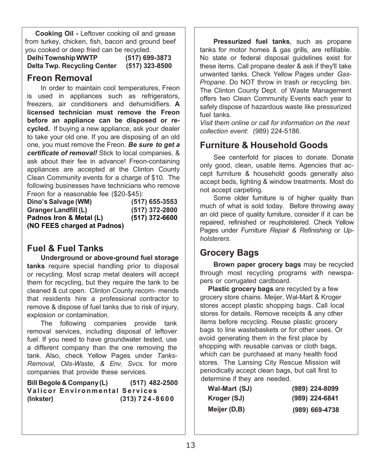**Cooking Oil -** Leftover cooking oil and grease from turkey, chicken, fish, bacon and ground beef you cooked or deep fried can be recycled.

**DelhiTownshipWWTP (517) 699-3873 Delta Twp. Recycling Center (517) 323-8500**

## **Freon Removal**

In order to maintain cool temperatures, Freon is used in appliances such as refrigerators, freezers, air conditioners and dehumidifiers. **A licensed technician must remove the Freon before an appliance can be disposed or recycled.** If buying a new appliance, ask your dealer to take your old one. If you are disposing of an old one, you must remove the Freon. *Be sure to get a certificate of removal!* Stick to local companies, & ask about their fee in advance! Freon-containing appliances are accepted at the Clinton County Clean Community events for a charge of \$10. The following businesses have technicians who remove Freon for a reasonable fee (\$20-\$45):

| Dino's Salvage (WM)         | (517) 655-3553 |
|-----------------------------|----------------|
| Granger Landfill (L)        | (517) 372-2800 |
| Padnos Iron & Metal (L)     | (517) 372-6600 |
| (NO FEES charged at Padnos) |                |

# **Fuel & Fuel Tanks**

**Underground or above-ground fuel storage tanks** require special handling prior to disposal or recycling. Most scrap metal dealers will accept them for recycling, but they require the tank to be cleaned & cut open. Clinton County recom- mends that residents hire a professional contractor to remove & dispose of fuel tanks due to risk of injury, explosion or contamination.

The following companies provide tank removal services, including disposal of leftover fuel. If you need to have groundwater tested, use a different company than the one removing the tank. Also, check Yellow Pages under *Tanks-Removal, Oils-Waste, & Env. Svcs.* for more companies that provide these services.

**Bill Begole & Company(L) (517) 482-2500 Valicor Environmental Services (Inkster) (313) 724 - 8600**

**Pressurized fuel tanks**, such as propane tanks for motor homes & gas grills, are refillable. No state or federal disposal guidelines exist for these items. Call propane dealer & ask if they'll take unwanted tanks. Check Yellow Pages under *Gas-Propane*. Do NOT throw in trash or recycling bin. The Clinton County Dept. of Waste Management offers two Clean Community Events each year to safely dispose of hazardous waste like pressurized fuel tanks.

*Visit them online or call for information on the next collection event*: (989) 224-5186.

# **Furniture & Household Goods**

See centerfold for places to donate. Donate only good, clean, usable items. Agencies that accept furniture & household goods generally also accept beds, lighting & window treatments. Most do not accept carpeting.

Some older furniture is of higher quality than much of what is sold today. Before throwing away an old piece of quality furniture, consider if it can be repaired, refinished or reupholstered. Check Yellow Pages under *Furniture Repair & Refinishing* or *Upholsterers*.

# **Grocery Bags**

**Brown paper grocery bags** may be recycled through most recycling programs with newspapers or corrugated cardboard.

**Plastic grocery bags** are recycled by a few grocery store chains. Meijer, Wal-Mart & Kroger stores accept plastic shopping bags. Call local stores for details. Remove receipts & any other items before recycling. Reuse plastic grocery bags to line wastebaskets or for other uses. Or avoid generating them in the first place by shopping with reusable canvas or cloth bags, which can be purchased at many health food stores. The Lansing City Rescue Mission will periodically accept clean bags, but call first to determine if they are needed.

| Wal-Mart (SJ) | (989) 224-8099   |
|---------------|------------------|
| Kroger (SJ)   | $(989)$ 224-6841 |
| Meijer (D,B)  | $(989)$ 669-4738 |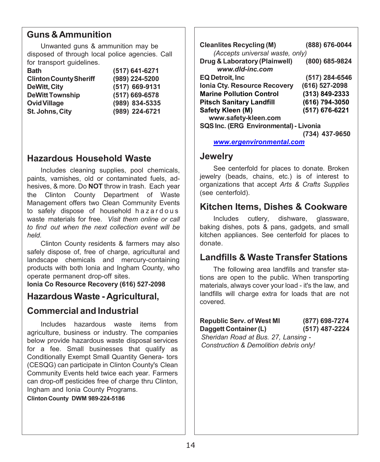### **Guns &Ammunition**

Unwanted guns & ammunition may be disposed of through local police agencies. Call for transport quidelines.

| (517) 641-6271 |
|----------------|
| (989) 224-5200 |
| (517) 669-9131 |
| (517) 669-6578 |
| (989) 834-5335 |
| (989) 224-6721 |
|                |

#### **Hazardous Household Waste**

Includes cleaning supplies, pool chemicals, paints, varnishes, old or contaminated fuels, adhesives, & more. Do **NOT** throw in trash. Each year the Clinton County Department of Waste Management offers two Clean Community Events to safely dispose of household hazardous waste materials for free. *Visit them online or call to find out when the next collection event will be held.*

Clinton County residents & farmers may also safely dispose of, free of charge, agricultural and landscape chemicals and mercury-containing products with both Ionia and Ingham County, who operate permanent drop-off sites.

**Ionia Co Resource Recovery (616) 527-2098** 

#### **Hazardous Waste - Agricultural,**

#### **Commercial and Industrial**

Includes hazardous waste items from agriculture, business or industry. The companies below provide hazardous waste disposal services for a fee. Small businesses that qualify as Conditionally Exempt Small Quantity Genera- tors (CESQG) can participate in Clinton County's Clean Community Events held twice each year. Farmers can drop-off pesticides free of charge thru Clinton, Ingham and Ionia County Programs.

#### **Clinton County DWM 989-224-5186**

| <b>Cleanlites Recycling (M)</b><br>(Accepts universal waste, only) | (888) 676-0044 |
|--------------------------------------------------------------------|----------------|
| Drug & Laboratory (Plainwell)<br>www.dld-inc.com                   | (800) 685-9824 |
| <b>EQ Detroit, Inc</b>                                             | (517) 284-6546 |
| Ionia Cty. Resource Recovery                                       | (616) 527-2098 |
| <b>Marine Pollution Control</b>                                    | (313) 849-2333 |
| <b>Pitsch Sanitary Landfill</b>                                    | (616) 794-3050 |
| Safety Kleen (M)<br>www.safety-kleen.com                           | (517) 676-6221 |
| SQS Inc. (ERG Environmental) - Livonia                             |                |
|                                                                    | 437-9650       |

*[www.ergenvironmental.com](http://www.ergenvironmental.com/)*

#### **Jewelry**

See centerfold for places to donate. Broken jewelry (beads, chains, etc.) is of interest to organizations that accept *Arts & Crafts Supplies* (see centerfold).

#### **Kitchen Items, Dishes & Cookware**

Includes cutlery, dishware, glassware, baking dishes, pots & pans, gadgets, and small kitchen appliances. See centerfold for places to donate.

#### **Landfills & Waste Transfer Stations**

The following area landfills and transfer stations are open to the public. When transporting materials, always cover your load - it's the law, and landfills will charge extra for loads that are not covered.

| <b>Republic Serv. of West MI</b>       | (877) 698-7274 |
|----------------------------------------|----------------|
| Daggett Container (L)                  | (517) 487-2224 |
| Sheridan Road at Bus. 27, Lansing -    |                |
| Construction & Demolition debris only! |                |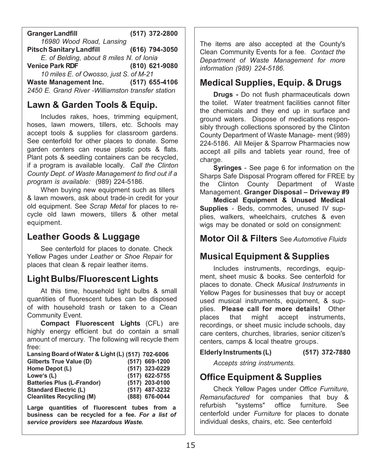**GrangerLandfill (517) 372-2800** *16980 Wood Road, Lansing* **PitschSanitaryLandfill (616) 794-3050** *E. of Belding, about 8 miles N. of Ionia* **Venice Park RDF (810) 621-9080** *10 miles E. of Owosso, just S. of M-21* **Waste Management Inc. (517) 655-4106** *2450 E. Grand River -Williamston transfer station*

## **Lawn & Garden Tools & Equip.**

Includes rakes, hoes, trimming equipment, hoses, lawn mowers, tillers, etc. Schools may accept tools & supplies for classroom gardens. See centerfold for other places to donate. Some garden centers can reuse plastic pots & flats. Plant pots & seedling containers can be recycled, if a program is available locally. *Call the Clinton County Dept. of Waste Management to find out if a program is available:* (989) 224-5186.

When buying new equipment such as tillers & lawn mowers, ask about trade-in credit for your old equipment. See *Scrap Metal* for places to recycle old lawn mowers, tillers & other metal equipment.

## **Leather Goods & Luggage**

See centerfold for places to donate. Check Yellow Pages under *Leather* or *Shoe Repair* for places that clean & repair leather items.

## **Light Bulbs/Fluorescent Lights**

At this time, household light bulbs & small quantities of fluorescent tubes can be disposed of with household trash or taken to a Clean Community Event.

**Compact Fluorescent Lights** (CFL) are highly energy efficient but do contain a small amount of mercury. The following will recycle them free:

| Lansing Board of Water & Light (L) (517) 702-6006 |                |
|---------------------------------------------------|----------------|
| Gilberts True Value (D)                           | (517) 669-1200 |
| Home Depot (L)                                    | (517) 323-0229 |
| Lowe's (L)                                        | (517) 622-5755 |
| <b>Batteries Plus (L-Frandor)</b>                 | (517) 203-0100 |
| <b>Standard Electric (L)</b>                      | (517) 487-3232 |
| <b>Cleanlites Recycling (M)</b>                   | (888) 676-0044 |

**Large quantities of fluorescent tubes from a business can be recycled for a fee.** *For a list of service providers see Hazardous Waste.*

The items are also accepted at the County's Clean Community Events for a fee. *Contact the Department of Waste Management for more information (989) 224-5186.*

### **Medical Supplies, Equip. & Drugs**

**Drugs -** Do not flush pharmaceuticals down the toilet. Water treatment facilities cannot filter the chemicals and they end up in surface and ground waters. Dispose of medications responsibly through collections sponsored by the Clinton County Department of Waste Manage- ment (989) 224-5186. All Meijer & Sparrow Pharmacies now accept all pills and tablets year round, free of charge.

**Syringes** - See page 6 for information on the Sharps Safe Disposal Program offered for FREE by the Clinton County Department of Waste Management. **Granger Disposal – Driveway #9**

**Medical Equipment & Unused Medical Supplies** - Beds, commodes, unused IV supplies, walkers, wheelchairs, crutches & even wigs may be donated or sold on consignment:

**Motor Oil & Filters** See *Automotive Fluids*

# **Musical Equipment & Supplies**

Includes instruments, recordings, equipment, sheet music & books. See centerfold for places to donate. Check *Musical Instruments* in Yellow Pages for businesses that buy or accept used musical instruments, equipment, & supplies. **Please call for more details!** Other places that might accept instruments, recordings, or sheet music include schools, day care centers, churches, libraries, senior citizen's centers, camps & local theatre groups.

**ElderlyInstruments (L) (517) 372-7880**

*Accepts string instruments.*

## **Office Equipment & Supplies**

Check Yellow Pages under *Office Furniture, Remanufactured* for companies that buy & refurbish "systems" office furniture. See centerfold under *Furniture* for places to donate individual desks, chairs, etc. See centerfold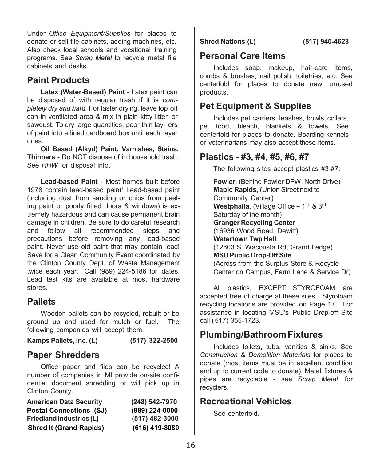Under *Office Equipment/Supplies* for places to donate or sell file cabinets, adding machines, etc. Also check local schools and vocational training programs. See *Scrap Metal* to recycle metal file cabinets and desks.

# **Paint Products**

**Latex (Water-Based) Paint** - Latex paint can be disposed of with regular trash if it is *completely dry and hard.* For faster drying, leave top off can in ventilated area & mix in plain kitty litter or sawdust. To dry large quantities, poor thin lay- ers of paint into a lined cardboard box until each layer dries.

**Oil Based (Alkyd) Paint, Varnishes, Stains, Thinners** - Do NOT dispose of in household trash. See *HHW* for disposal info.

**Lead-based Paint** - Most homes built before 1978 contain lead-based paint! Lead-based paint (including dust from sanding or chips from peeling paint or poorly fitted doors & windows) is extremely hazardous and can cause permanent brain damage in children. Be sure to do careful research and follow all recommended steps and precautions before removing any lead-based paint. Never use old paint that may contain lead! Save for a Clean Community Event coordinated by the Clinton County Dept. of Waste Management twice each year. Call (989) 224-5186 for dates. Lead test kits are available at most hardware stores.

## **Pallets**

Wooden pallets can be recycled, rebuilt or be ground up and used for mulch or fuel. The following companies will accept them.

**Kamps Pallets, Inc. (L) (517) 322-2500**

#### **Paper Shredders**

Office paper and files can be recycled! A number of companies in MI provide on-site confidential document shredding or will pick up in Clinton County.

| (248) 542-7970 |
|----------------|
| (989) 224-0000 |
| (517) 482-3000 |
| (616) 419-8080 |
|                |

**Shred Nations (L) (517) 940-4623**

## **Personal Care Items**

Includes soap, makeup, hair-care items, combs & brushes, nail polish, toiletries, etc. See centerfold for places to donate new, unused products.

# **Pet Equipment & Supplies**

Includes pet carriers, leashes, bowls, collars, pet food, bleach, blankets & towels. See centerfold for places to donate. Boarding kennels or veterinarians may also accept these items.

### **Plastics - #3, #4, #5, #6, #7**

The following sites accept plastics #3-#7:

**Fowler**, (Behind Fowler DPW, North Drive) **Maple Rapids**, (Union Street next to Community Center) Westphalia, (Village Office – 1<sup>st</sup> & 3<sup>rd</sup> Saturday of the month) **Granger Recycling Center** (16936 Wood Road, Dewitt) **Watertown Twp Hall** (12803 S. Wacousta Rd, Grand Ledge) **MSU Public Drop-OffSite** (Across from the Surplus Store & Recycle Center on Campus, Farm Lane & Service Dr)

All plastics, EXCEPT STYROFOAM, are accepted free of charge at these sites. Styrofoam recycling locations are provided on Page 17. For assistance in locating MSU's Public Drop-off Site call (517) 355-1723.

# **Plumbing/BathroomFixtures**

Includes toilets, tubs, vanities & sinks. See *Construction & Demolition Materials* for places to donate (most items must be in excellent condition and up to current code to donate). Metal fixtures & pipes are recyclable - see *Scrap Metal* for recyclers.

# **Recreational Vehicles**

See centerfold.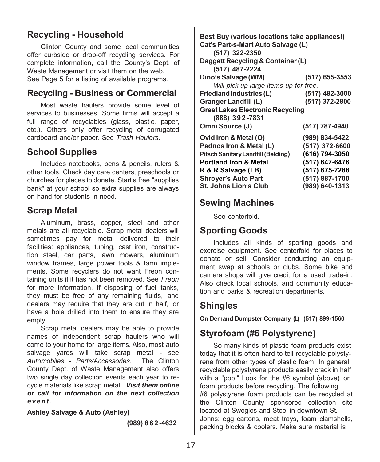### **Recycling - Household**

Clinton County and some local communities offer curbside or drop-off recycling services. For complete information, call the County's Dept. of Waste Management or visit them on the web. See Page 5 for a listing of available programs.

#### **Recycling - Business or Commercial**

Most waste haulers provide some level of services to businesses. Some firms will accept a full range of recyclables (glass, plastic, paper, etc.). Others only offer recycling of corrugated cardboard and/or paper. See *Trash Haulers*.

## **School Supplies**

Includes notebooks, pens & pencils, rulers & other tools. Check day care centers, preschools or churches for places to donate. Start a free "supplies bank" at your school so extra supplies are always on hand for students in need.

## **Scrap Metal**

Aluminum, brass, copper, steel and other metals are all recyclable. Scrap metal dealers will sometimes pay for metal delivered to their facilities: appliances, tubing, cast iron, construction steel, car parts, lawn mowers, aluminum window frames, large power tools & farm implements. Some recyclers do not want Freon containing units if it has not been removed. See *Freon* for more information. If disposing of fuel tanks, they must be free of any remaining fluids, and dealers may require that they are cut in half, or have a hole drilled into them to ensure they are empty.

Scrap metal dealers may be able to provide names of independent scrap haulers who will come to your home for large items. Also, most auto salvage yards will take scrap metal - see<br>Automobiles - Parts/Accessories. The Clinton Automobiles - Parts/Accessories. County Dept. of Waste Management also offers two single day collection events each year to recycle materials like scrap metal. *Visit them online or call for information on the next collection event***.**

**Ashley Salvage & Auto (Ashley)**

 **(989) 862 -4632**

**Best Buy (various locations take appliances!) Cat's Part-s-Mart Auto Salvage (L) (517) 322-2350 Daggett Recycling & Container(L) (517) 487-2224 Dino's Salvage (WM) (517) 655-3553** *Will pick up large items up for free.*  $Friedland Industries (L)$ **Granger Landfill (L) (517) 372-2800 Great Lakes Electronic Recycling (888) 392 -7831 Omni Source (J) (517) 787-4940 Ovid Iron & Metal (O) (989) 834-5422 Padnos Iron & Metal (L) (517) 372-6600 PitschSanitaryLandfill(Belding) (616) 794-3050 Portland Iron & Metal (517) 647-6476 R & R Salvage (LB) (517) 675-7288 Shroyer's Auto Part St. Johns Lion's Club (517) 887-1700 (989) 640-1313**

## **Sewing Machines**

See centerfold.

## **Sporting Goods**

Includes all kinds of sporting goods and exercise equipment. See centerfold for places to donate or sell. Consider conducting an equipment swap at schools or clubs. Some bike and camera shops will give credit for a used trade-in. Also check local schools, and community education and parks & recreation departments.

# **Shingles**

**On Demand Dumpster Company (L) (517) 899-1560**

# **Styrofoam (#6 Polystyrene)**

So many kinds of plastic foam products exist today that it is often hard to tell recyclable polystyrene from other types of plastic foam. In general, recyclable polystyrene products easily crack in half with a "pop." Look for the #6 symbol (above) on foam products before recycling. The following #6 polystyrene foam products can be recycled at the Clinton County sponsored collection site located at Swegles and Steel in downtown St. Johns: egg cartons, meat trays, foam clamshells, packing blocks & coolers. Make sure material is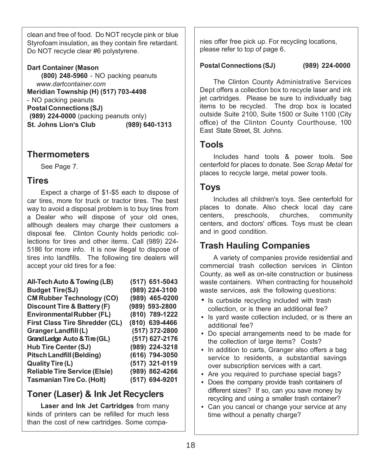clean and free of food. Do NOT recycle pink or blue Styrofoam insulation, as they contain fire retardant. Do NOT recycle clear #6 polystyrene.

**Dart Container (Mason (800) 248-5960** - NO packing peanuts *[www.dartcontainer.com](http://www.dartcontainer.com/)* **Meridian Township (H) (517) 703-4498** - NO packing peanuts **Postal Connections (SJ) (989) 224-0000** (packing peanuts only) **St. Johns Lion's Club (989) 640-1313**

### **Thermometers**

See Page 7.

### **Tires**

Expect a charge of \$1-\$5 each to dispose of car tires, more for truck or tractor tires. The best way to avoid a disposal problem is to buy tires from a Dealer who will dispose of your old ones, although dealers may charge their customers a disposal fee. Clinton County holds periodic collections for tires and other items. Call (989) 224- 5186 for more info. It is now illegal to dispose of tires into landfills. The following tire dealers will accept your old tires for a fee:

| All-Tech Auto & Towing (LB)           | (517) 651-5043 |
|---------------------------------------|----------------|
| <b>Budget Tire(SJ)</b>                | (989) 224-3100 |
| <b>CM Rubber Technology (CO)</b>      | (989) 465-0200 |
| Discount Tire & Battery (F)           | (989) 593-2800 |
| <b>Environmental Rubber (FL)</b>      | (810) 789-1222 |
| <b>First Class Tire Shredder (CL)</b> | (810) 639-4466 |
| Granger Landfill (L)                  | (517) 372-2800 |
| Grand Ledge Auto & Tire (GL)          | (517) 627-2176 |
| <b>Hub Tire Center (SJ)</b>           | (989) 224-3218 |
| <b>Pitsch Landfill (Belding)</b>      | (616) 794-3050 |
| Quality Tire (L)                      | (517) 321-0119 |
| <b>Reliable Tire Service (Elsie)</b>  | (989) 862-4266 |
| <b>Tasmanian Tire Co. (Holt)</b>      | (517) 694-9201 |

# **Toner (Laser) & Ink Jet Recyclers**

**Laser and Ink Jet Cartridges** from many kinds of printers can be refilled for much less than the cost of new cartridges. Some compa-

nies offer free pick up. For recycling locations, please refer to top of page 6.

#### **Postal Connections (SJ) (989) 224-0000**

The Clinton County Administrative Services Dept offers a collection box to recycle laser and ink jet cartridges. Please be sure to individually bag items to be recycled. The drop box is located outside Suite 2100, Suite 1500 or Suite 1100 (City office) of the Clinton County Courthouse, 100 East State Street, St. Johns.

### **Tools**

Includes hand tools & power tools. See centerfold for places to donate. See *Scrap Metal* for places to recycle large, metal power tools.

### **Toys**

Includes all children's toys. See centerfold for places to donate. Also check local day care centers, preschools, churches, community centers, and doctors' offices. Toys must be clean and in good condition.

# **Trash Hauling Companies**

A variety of companies provide residential and commercial trash collection services in Clinton County, as well as on-site construction or business waste containers. When contracting for household waste services, ask the following questions:

- Is curbside recycling included with trash collection, or is there an additional fee?
- **•** Is yard waste collection included, or is there an additional fee?
- **•** Do special arrangements need to be made for the collection of large items? Costs?
- **•** In addition to carts, Granger also offers a bag service to residents, a substantial savings over subscription services with a cart.
- **•** Are you required to purchase special bags?
- **•** Does the company provide trash containers of different sizes? If so, can you save money by recycling and using a smaller trash container?
- **•** Can you cancel or change your service at any time without a penalty charge?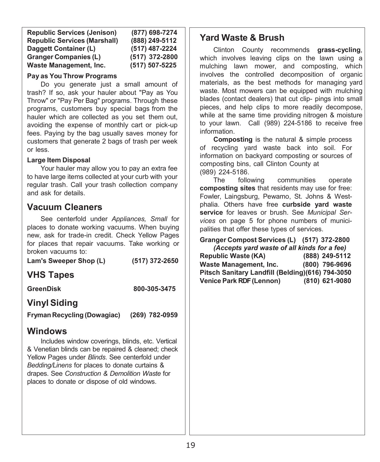| <b>Republic Services (Jenison)</b>  | (877) 698-7274 |
|-------------------------------------|----------------|
| <b>Republic Services (Marshall)</b> | (888) 249-5112 |
| Daggett Container (L)               | (517) 487-2224 |
| <b>Granger Companies (L)</b>        | (517) 372-2800 |
| Waste Management, Inc.              | (517) 507-5225 |

#### **Pay as You Throw Programs**

Do you generate just a small amount of trash? If so, ask your hauler about "Pay as You Throw" or "Pay Per Bag" programs. Through these programs, customers buy special bags from the hauler which are collected as you set them out, avoiding the expense of monthly cart or pick-up fees. Paying by the bag usually saves money for customers that generate 2 bags of trash per week or less.

#### **Large Item Disposal**

Your hauler may allow you to pay an extra fee to have large items collected at your curb with your regular trash. Call your trash collection company and ask for details.

#### **Vacuum Cleaners**

See centerfold under *Appliances, Small* for places to donate working vacuums. When buying new, ask for trade-in credit. Check Yellow Pages for places that repair vacuums. Take working or broken vacuums to:

**Lam's Sweeper Shop (L) (517) 372-2650**

## **VHS Tapes**

**GreenDisk 800-305-3475**

## **Vinyl Siding**

**Fryman Recycling (Dowagiac) (269) 782-0959**

#### **Windows**

Includes window coverings, blinds, etc. Vertical & Venetian blinds can be repaired & cleaned; check Yellow Pages under *Blinds*. See centerfold under *Bedding/Linens* for places to donate curtains & drapes. See *Construction & Demolition Waste* for places to donate or dispose of old windows.

#### **Yard Waste & Brush**

j

Clinton County recommends **grass-cycling**, which involves leaving clips on the lawn using a mulching lawn mower, and composting, which involves the controlled decomposition of organic materials, as the best methods for managing yard waste. Most mowers can be equipped with mulching blades (contact dealers) that cut clip- pings into small pieces, and help clips to more readily decompose, while at the same time providing nitrogen & moisture to your lawn. Call (989) 224-5186 to receive free information.

**Composting** is the natural & simple process of recycling yard waste back into soil. For information on backyard composting or sources of composting bins, call Clinton County at (989) 224-5186.

The following communities operate **composting sites** that residents may use for free: Fowler, Laingsburg, Pewamo, St. Johns & Westphalia. Others have free **curbside yard waste service** for leaves or brush. See *Municipal Services* on page 5 for phone numbers of municipalities that offer these types of services.

**Granger Compost Services (L) (517) 372-2800**

| (Accepts yard waste of all kinds for a fee)       |                |  |
|---------------------------------------------------|----------------|--|
| <b>Republic Waste (KA)</b>                        | (888) 249-5112 |  |
| <b>Waste Management, Inc.</b>                     | (800) 796-9696 |  |
| Pitsch Sanitary Landfill (Belding) (616) 794-3050 |                |  |
| <b>Venice Park RDF (Lennon)</b>                   | (810) 621-9080 |  |